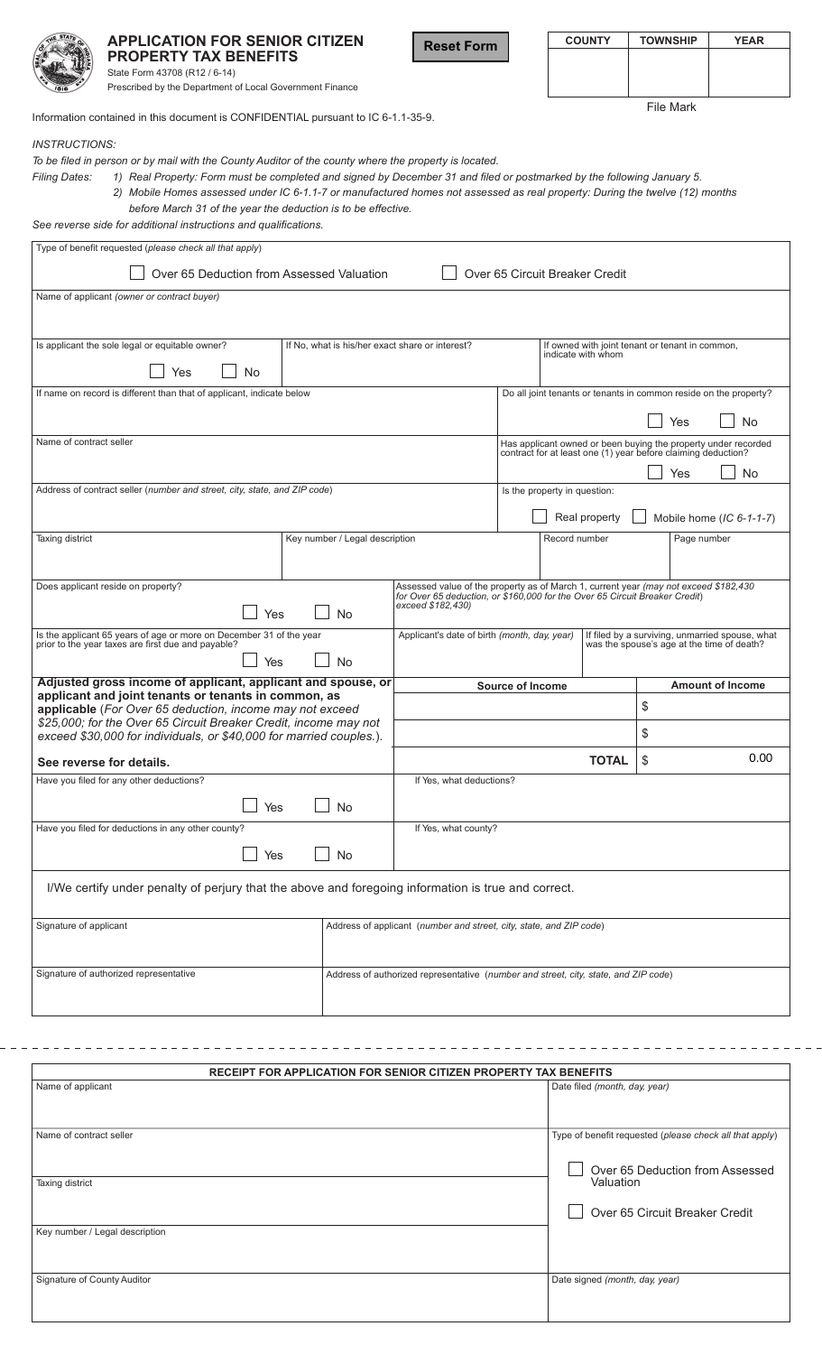|                                                                                                                                                | <b>APPLICATION FOR SENIOR CITIZEN</b>                                                               |                                                                                                                                              | <b>Reset Form</b>                                                                                                                                                   |  | <b>COUNTY</b>                                                         |                         | <b>TOWNSHIP</b>                                                   | <b>YEAR</b> |  |  |
|------------------------------------------------------------------------------------------------------------------------------------------------|-----------------------------------------------------------------------------------------------------|----------------------------------------------------------------------------------------------------------------------------------------------|---------------------------------------------------------------------------------------------------------------------------------------------------------------------|--|-----------------------------------------------------------------------|-------------------------|-------------------------------------------------------------------|-------------|--|--|
|                                                                                                                                                | <b>PROPERTY TAX BENEFITS</b>                                                                        |                                                                                                                                              |                                                                                                                                                                     |  |                                                                       |                         |                                                                   |             |  |  |
|                                                                                                                                                | State Form 43708 (R12 / 6-14)                                                                       |                                                                                                                                              |                                                                                                                                                                     |  |                                                                       |                         |                                                                   |             |  |  |
|                                                                                                                                                | Prescribed by the Department of Local Government Finance                                            |                                                                                                                                              |                                                                                                                                                                     |  |                                                                       |                         |                                                                   |             |  |  |
|                                                                                                                                                |                                                                                                     |                                                                                                                                              |                                                                                                                                                                     |  |                                                                       | <b>File Mark</b>        |                                                                   |             |  |  |
| Information contained in this document is CONFIDENTIAL pursuant to IC 6-1.1-35-9.                                                              |                                                                                                     |                                                                                                                                              |                                                                                                                                                                     |  |                                                                       |                         |                                                                   |             |  |  |
| <i><b>INSTRUCTIONS:</b></i>                                                                                                                    |                                                                                                     |                                                                                                                                              |                                                                                                                                                                     |  |                                                                       |                         |                                                                   |             |  |  |
| To be filed in person or by mail with the County Auditor of the county where the property is located.                                          |                                                                                                     |                                                                                                                                              |                                                                                                                                                                     |  |                                                                       |                         |                                                                   |             |  |  |
| 1) Real Property: Form must be completed and signed by December 31 and filed or postmarked by the following January 5.<br><b>Filing Dates:</b> |                                                                                                     |                                                                                                                                              |                                                                                                                                                                     |  |                                                                       |                         |                                                                   |             |  |  |
| 2) Mobile Homes assessed under IC 6-1.1-7 or manufactured homes not assessed as real property: During the twelve (12) months                   |                                                                                                     |                                                                                                                                              |                                                                                                                                                                     |  |                                                                       |                         |                                                                   |             |  |  |
| before March 31 of the year the deduction is to be effective.                                                                                  |                                                                                                     |                                                                                                                                              |                                                                                                                                                                     |  |                                                                       |                         |                                                                   |             |  |  |
| See reverse side for additional instructions and qualifications.                                                                               |                                                                                                     |                                                                                                                                              |                                                                                                                                                                     |  |                                                                       |                         |                                                                   |             |  |  |
| Type of benefit requested (please check all that apply)                                                                                        |                                                                                                     |                                                                                                                                              |                                                                                                                                                                     |  |                                                                       |                         |                                                                   |             |  |  |
| Over 65 Deduction from Assessed Valuation<br>Over 65 Circuit Breaker Credit                                                                    |                                                                                                     |                                                                                                                                              |                                                                                                                                                                     |  |                                                                       |                         |                                                                   |             |  |  |
|                                                                                                                                                | Name of applicant (owner or contract buyer)                                                         |                                                                                                                                              |                                                                                                                                                                     |  |                                                                       |                         |                                                                   |             |  |  |
|                                                                                                                                                |                                                                                                     |                                                                                                                                              |                                                                                                                                                                     |  |                                                                       |                         |                                                                   |             |  |  |
|                                                                                                                                                |                                                                                                     |                                                                                                                                              |                                                                                                                                                                     |  |                                                                       |                         |                                                                   |             |  |  |
| Is applicant the sole legal or equitable owner?<br>If No, what is his/her exact share or interest?                                             |                                                                                                     |                                                                                                                                              |                                                                                                                                                                     |  | If owned with joint tenant or tenant in common,<br>indicate with whom |                         |                                                                   |             |  |  |
|                                                                                                                                                | Yes<br><b>No</b>                                                                                    |                                                                                                                                              |                                                                                                                                                                     |  |                                                                       |                         |                                                                   |             |  |  |
|                                                                                                                                                |                                                                                                     |                                                                                                                                              |                                                                                                                                                                     |  |                                                                       |                         |                                                                   |             |  |  |
|                                                                                                                                                | If name on record is different than that of applicant, indicate below                               |                                                                                                                                              |                                                                                                                                                                     |  |                                                                       |                         | Do all joint tenants or tenants in common reside on the property? |             |  |  |
|                                                                                                                                                |                                                                                                     |                                                                                                                                              |                                                                                                                                                                     |  |                                                                       |                         | <b>No</b><br>Yes                                                  |             |  |  |
| Name of contract seller                                                                                                                        |                                                                                                     |                                                                                                                                              |                                                                                                                                                                     |  |                                                                       |                         |                                                                   |             |  |  |
| Has applicant owned or been buying the property under recorded<br>contract for at least one (1) year before claiming deduction?                |                                                                                                     |                                                                                                                                              |                                                                                                                                                                     |  |                                                                       |                         |                                                                   |             |  |  |
|                                                                                                                                                |                                                                                                     |                                                                                                                                              |                                                                                                                                                                     |  |                                                                       |                         | Yes                                                               | No          |  |  |
|                                                                                                                                                | Address of contract seller (number and street, city, state, and ZIP code)                           |                                                                                                                                              | Is the property in question:                                                                                                                                        |  |                                                                       |                         |                                                                   |             |  |  |
|                                                                                                                                                |                                                                                                     |                                                                                                                                              |                                                                                                                                                                     |  |                                                                       |                         |                                                                   |             |  |  |
|                                                                                                                                                |                                                                                                     | Real property<br>Mobile home $(IC 6-1-1-7)$                                                                                                  |                                                                                                                                                                     |  |                                                                       |                         |                                                                   |             |  |  |
| Taxing district                                                                                                                                |                                                                                                     | Key number / Legal description                                                                                                               | Record number<br>Page number                                                                                                                                        |  |                                                                       |                         |                                                                   |             |  |  |
|                                                                                                                                                |                                                                                                     |                                                                                                                                              |                                                                                                                                                                     |  |                                                                       |                         |                                                                   |             |  |  |
|                                                                                                                                                |                                                                                                     |                                                                                                                                              |                                                                                                                                                                     |  |                                                                       |                         |                                                                   |             |  |  |
|                                                                                                                                                | Does applicant reside on property?                                                                  |                                                                                                                                              | Assessed value of the property as of March 1, current year (may not exceed \$182,430<br>for Over 65 deduction, or \$160,000 for the Over 65 Circuit Breaker Credit) |  |                                                                       |                         |                                                                   |             |  |  |
|                                                                                                                                                | Yes                                                                                                 | No                                                                                                                                           | exceed \$182,430)                                                                                                                                                   |  |                                                                       |                         |                                                                   |             |  |  |
|                                                                                                                                                | Is the applicant 65 years of age or more on December 31 of the year                                 |                                                                                                                                              |                                                                                                                                                                     |  |                                                                       |                         |                                                                   |             |  |  |
|                                                                                                                                                | prior to the year taxes are first due and payable?                                                  | Applicant's date of birth (month, day, year)   If filed by a surviving, unmarried spouse, what<br>was the spouse's age at the time of death? |                                                                                                                                                                     |  |                                                                       |                         |                                                                   |             |  |  |
|                                                                                                                                                | Yes                                                                                                 | <b>No</b>                                                                                                                                    |                                                                                                                                                                     |  |                                                                       |                         |                                                                   |             |  |  |
|                                                                                                                                                | Adjusted gross income of applicant, applicant and spouse, or                                        | <b>Source of Income</b>                                                                                                                      |                                                                                                                                                                     |  |                                                                       | <b>Amount of Income</b> |                                                                   |             |  |  |
| applicant and joint tenants or tenants in common, as<br>applicable (For Over 65 deduction, income may not exceed                               |                                                                                                     |                                                                                                                                              |                                                                                                                                                                     |  |                                                                       |                         | \$                                                                |             |  |  |
|                                                                                                                                                | \$25,000; for the Over 65 Circuit Breaker Credit, income may not                                    |                                                                                                                                              |                                                                                                                                                                     |  |                                                                       |                         |                                                                   |             |  |  |
| exceed \$30,000 for individuals, or \$40,000 for married couples.).                                                                            |                                                                                                     |                                                                                                                                              |                                                                                                                                                                     |  |                                                                       |                         | \$                                                                |             |  |  |
| See reverse for details.                                                                                                                       |                                                                                                     |                                                                                                                                              | <b>TOTAL</b>                                                                                                                                                        |  |                                                                       |                         | \$                                                                | 0.00        |  |  |
| Have you filed for any other deductions?                                                                                                       |                                                                                                     |                                                                                                                                              | If Yes, what deductions?                                                                                                                                            |  |                                                                       |                         |                                                                   |             |  |  |
|                                                                                                                                                |                                                                                                     |                                                                                                                                              |                                                                                                                                                                     |  |                                                                       |                         |                                                                   |             |  |  |
| Yes<br><b>No</b>                                                                                                                               |                                                                                                     |                                                                                                                                              |                                                                                                                                                                     |  |                                                                       |                         |                                                                   |             |  |  |
| Have you filed for deductions in any other county?                                                                                             |                                                                                                     |                                                                                                                                              | If Yes, what county?                                                                                                                                                |  |                                                                       |                         |                                                                   |             |  |  |
| Yes<br><b>No</b>                                                                                                                               |                                                                                                     |                                                                                                                                              |                                                                                                                                                                     |  |                                                                       |                         |                                                                   |             |  |  |
|                                                                                                                                                |                                                                                                     |                                                                                                                                              |                                                                                                                                                                     |  |                                                                       |                         |                                                                   |             |  |  |
|                                                                                                                                                | I/We certify under penalty of perjury that the above and foregoing information is true and correct. |                                                                                                                                              |                                                                                                                                                                     |  |                                                                       |                         |                                                                   |             |  |  |
|                                                                                                                                                |                                                                                                     |                                                                                                                                              |                                                                                                                                                                     |  |                                                                       |                         |                                                                   |             |  |  |
| Signature of applicant<br>Address of applicant (number and street, city, state, and ZIP code)                                                  |                                                                                                     |                                                                                                                                              |                                                                                                                                                                     |  |                                                                       |                         |                                                                   |             |  |  |
|                                                                                                                                                |                                                                                                     |                                                                                                                                              |                                                                                                                                                                     |  |                                                                       |                         |                                                                   |             |  |  |
|                                                                                                                                                |                                                                                                     |                                                                                                                                              |                                                                                                                                                                     |  |                                                                       |                         |                                                                   |             |  |  |
|                                                                                                                                                | Signature of authorized representative                                                              | Address of authorized representative (number and street, city, state, and ZIP code)                                                          |                                                                                                                                                                     |  |                                                                       |                         |                                                                   |             |  |  |
|                                                                                                                                                |                                                                                                     |                                                                                                                                              |                                                                                                                                                                     |  |                                                                       |                         |                                                                   |             |  |  |
|                                                                                                                                                |                                                                                                     |                                                                                                                                              |                                                                                                                                                                     |  |                                                                       |                         |                                                                   |             |  |  |

| RECEIPT FOR APPLICATION FOR SENIOR CITIZEN PROPERTY TAX BENEFITS |                                                                                                                                           |  |  |  |  |  |
|------------------------------------------------------------------|-------------------------------------------------------------------------------------------------------------------------------------------|--|--|--|--|--|
| Name of applicant                                                | Date filed (month, day, year)                                                                                                             |  |  |  |  |  |
| Name of contract seller                                          | Type of benefit requested (please check all that apply)<br>Over 65 Deduction from Assessed<br>Valuation<br>Over 65 Circuit Breaker Credit |  |  |  |  |  |
| Taxing district                                                  |                                                                                                                                           |  |  |  |  |  |
| Key number / Legal description                                   |                                                                                                                                           |  |  |  |  |  |
| Signature of County Auditor                                      | Date signed (month, day, year)                                                                                                            |  |  |  |  |  |